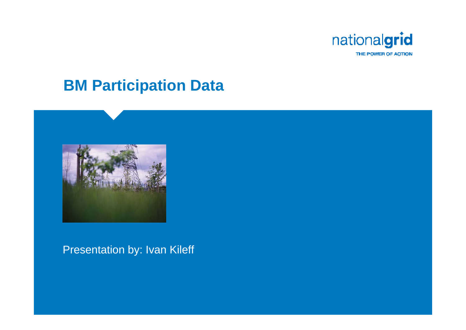

#### **BM Participation Data**



#### Presentation by: Ivan Kileff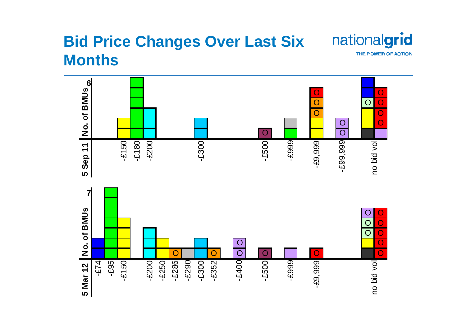### **Bid Price Changes Over Last Six Months**



THE POWER OF ACTION

nationalgrid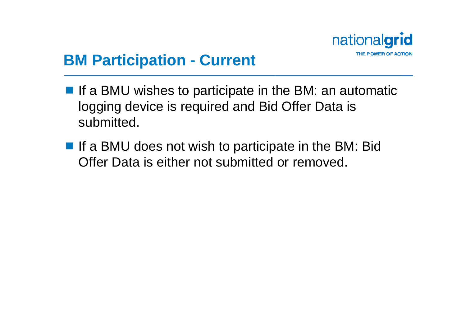

## **BM Participation - Current**

- $\blacksquare$  If a BMU wishes to participate in the BM: an automatic logging device is required and Bid Offer Data is submitted.
- If a BMU does not wish to participate in the BM: Bid Offer Data is either not submitted or removed.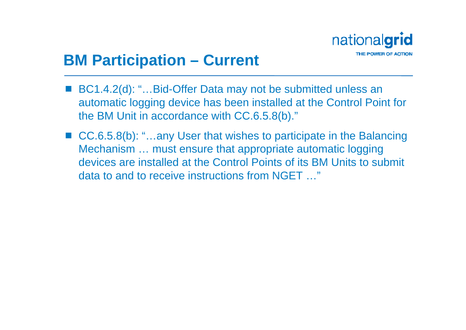

### **BM Participation – Current**

- BC1.4.2(d): "...Bid-Offer Data may not be submitted unless an automatic logging device has been installed at the Control Point for the BM Unit in accordance with CC.6.5.8(b)."
- CC.6.5.8(b): "...any User that wishes to participate in the Balancing Mechanism … must ensure that appropriate automatic logging devices are installed at the Control Points of its BM Units to submit data to and to receive instructions from NGET …"